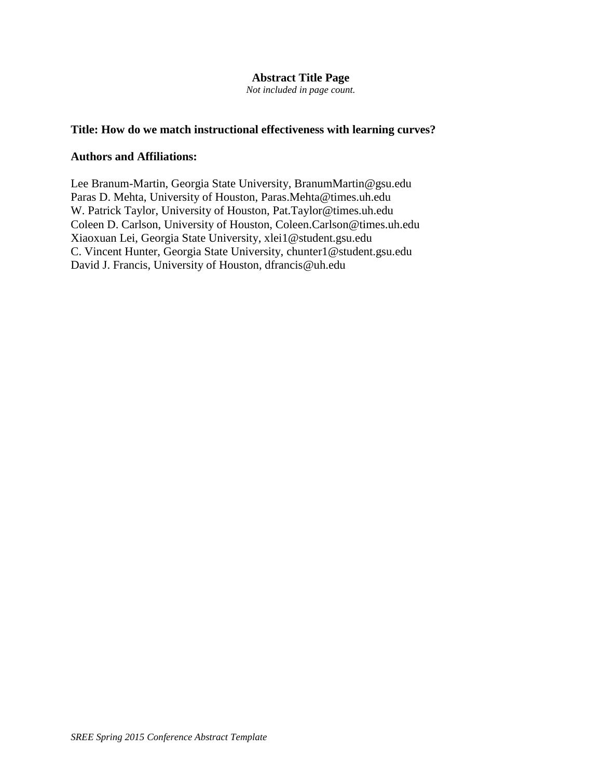# **Abstract Title Page**

*Not included in page count.*

# **Title: How do we match instructional effectiveness with learning curves?**

## **Authors and Affiliations:**

Lee Branum-Martin, Georgia State University, BranumMartin@gsu.edu Paras D. Mehta, University of Houston, Paras.Mehta@times.uh.edu W. Patrick Taylor, University of Houston, Pat.Taylor@times.uh.edu Coleen D. Carlson, University of Houston, Coleen.Carlson@times.uh.edu Xiaoxuan Lei, Georgia State University, xlei1@student.gsu.edu C. Vincent Hunter, Georgia State University, chunter1@student.gsu.edu David J. Francis, University of Houston, dfrancis@uh.edu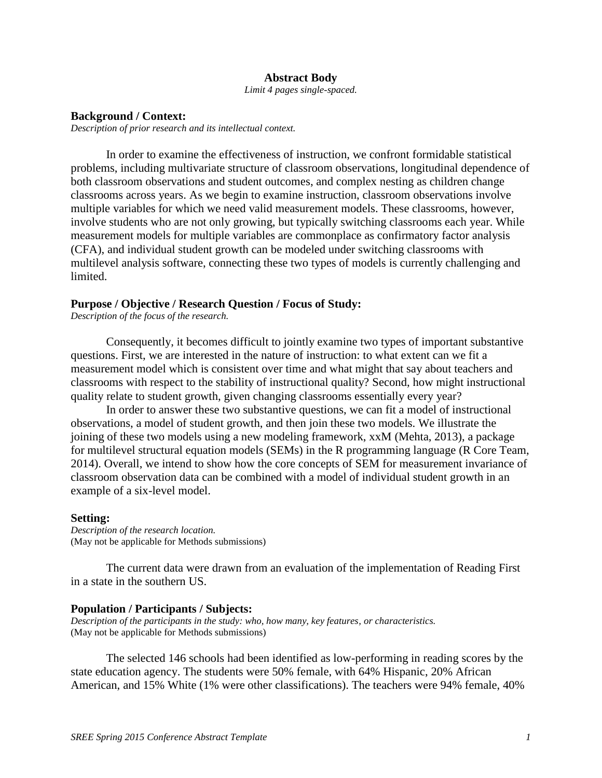### **Abstract Body**

*Limit 4 pages single-spaced.*

#### **Background / Context:**

*Description of prior research and its intellectual context.*

In order to examine the effectiveness of instruction, we confront formidable statistical problems, including multivariate structure of classroom observations, longitudinal dependence of both classroom observations and student outcomes, and complex nesting as children change classrooms across years. As we begin to examine instruction, classroom observations involve multiple variables for which we need valid measurement models. These classrooms, however, involve students who are not only growing, but typically switching classrooms each year. While measurement models for multiple variables are commonplace as confirmatory factor analysis (CFA), and individual student growth can be modeled under switching classrooms with multilevel analysis software, connecting these two types of models is currently challenging and limited.

### **Purpose / Objective / Research Question / Focus of Study:**

*Description of the focus of the research.*

Consequently, it becomes difficult to jointly examine two types of important substantive questions. First, we are interested in the nature of instruction: to what extent can we fit a measurement model which is consistent over time and what might that say about teachers and classrooms with respect to the stability of instructional quality? Second, how might instructional quality relate to student growth, given changing classrooms essentially every year?

In order to answer these two substantive questions, we can fit a model of instructional observations, a model of student growth, and then join these two models. We illustrate the joining of these two models using a new modeling framework, xxM [\(Mehta, 2013\)](#page-5-0), a package for multilevel structural equation models (SEMs) in the R programming language [\(R Core Team,](#page-5-1)  [2014\)](#page-5-1). Overall, we intend to show how the core concepts of SEM for measurement invariance of classroom observation data can be combined with a model of individual student growth in an example of a six-level model.

#### **Setting:**

*Description of the research location.* (May not be applicable for Methods submissions)

The current data were drawn from an evaluation of the implementation of Reading First in a state in the southern US.

## **Population / Participants / Subjects:**

*Description of the participants in the study: who, how many, key features, or characteristics.* (May not be applicable for Methods submissions)

The selected 146 schools had been identified as low-performing in reading scores by the state education agency. The students were 50% female, with 64% Hispanic, 20% African American, and 15% White (1% were other classifications). The teachers were 94% female, 40%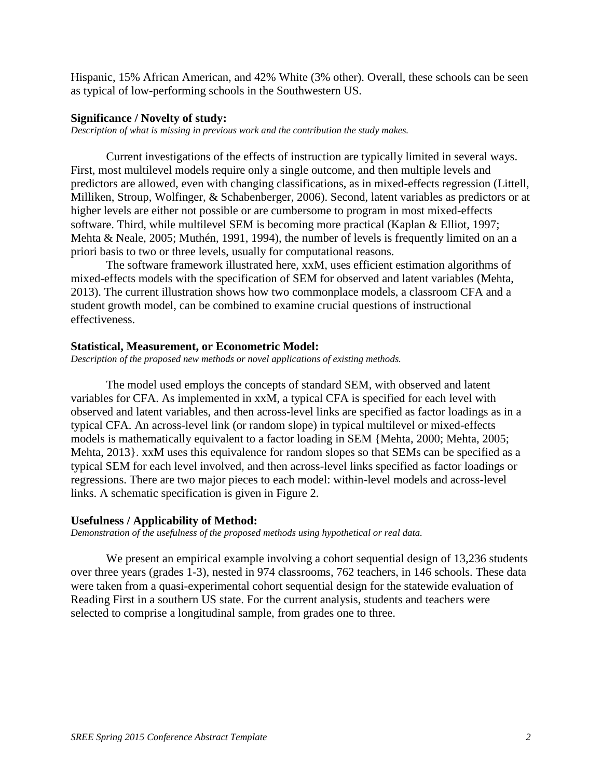Hispanic, 15% African American, and 42% White (3% other). Overall, these schools can be seen as typical of low-performing schools in the Southwestern US.

#### **Significance / Novelty of study:**

*Description of what is missing in previous work and the contribution the study makes.*

Current investigations of the effects of instruction are typically limited in several ways. First, most multilevel models require only a single outcome, and then multiple levels and predictors are allowed, even with changing classifications, as in mixed-effects regression [\(Littell,](#page-5-2)  [Milliken, Stroup, Wolfinger, & Schabenberger, 2006\)](#page-5-2). Second, latent variables as predictors or at higher levels are either not possible or are cumbersome to program in most mixed-effects software. Third, while multilevel SEM is becoming more practical [\(Kaplan & Elliot, 1997;](#page-5-3) [Mehta & Neale, 2005;](#page-5-4) [Muthén, 1991,](#page-5-5) [1994\)](#page-5-6), the number of levels is frequently limited on an a priori basis to two or three levels, usually for computational reasons.

The software framework illustrated here, xxM, uses efficient estimation algorithms of mixed-effects models with the specification of SEM for observed and latent variables [\(Mehta,](#page-5-0)  [2013\)](#page-5-0). The current illustration shows how two commonplace models, a classroom CFA and a student growth model, can be combined to examine crucial questions of instructional effectiveness.

### **Statistical, Measurement, or Econometric Model:**

*Description of the proposed new methods or novel applications of existing methods.*

The model used employs the concepts of standard SEM, with observed and latent variables for CFA. As implemented in xxM, a typical CFA is specified for each level with observed and latent variables, and then across-level links are specified as factor loadings as in a typical CFA. An across-level link (or random slope) in typical multilevel or mixed-effects models is mathematically equivalent to a factor loading in SEM {Mehta, 2000; Mehta, 2005; Mehta, 2013}. xxM uses this equivalence for random slopes so that SEMs can be specified as a typical SEM for each level involved, and then across-level links specified as factor loadings or regressions. There are two major pieces to each model: within-level models and across-level links. A schematic specification is given in Figure 2.

#### **Usefulness / Applicability of Method:**

*Demonstration of the usefulness of the proposed methods using hypothetical or real data.* 

We present an empirical example involving a cohort sequential design of 13,236 students over three years (grades 1-3), nested in 974 classrooms, 762 teachers, in 146 schools. These data were taken from a quasi-experimental cohort sequential design for the statewide evaluation of Reading First in a southern US state. For the current analysis, students and teachers were selected to comprise a longitudinal sample, from grades one to three.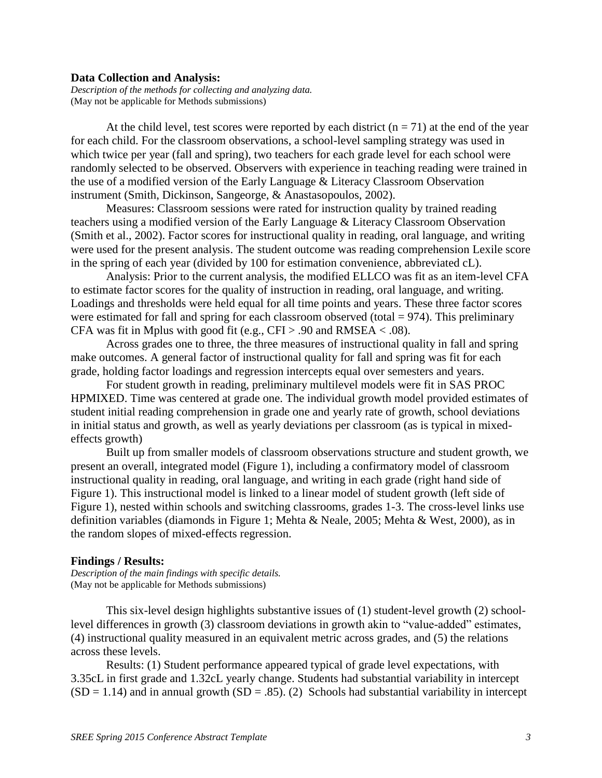#### **Data Collection and Analysis:**

*Description of the methods for collecting and analyzing data.* (May not be applicable for Methods submissions)

At the child level, test scores were reported by each district  $(n = 71)$  at the end of the year for each child. For the classroom observations, a school-level sampling strategy was used in which twice per year (fall and spring), two teachers for each grade level for each school were randomly selected to be observed. Observers with experience in teaching reading were trained in the use of a modified version of the Early Language & Literacy Classroom Observation instrument [\(Smith, Dickinson, Sangeorge, & Anastasopoulos, 2002\)](#page-5-7).

Measures: Classroom sessions were rated for instruction quality by trained reading teachers using a modified version of the Early Language & Literacy Classroom Observation [\(Smith et al., 2002\)](#page-5-7). Factor scores for instructional quality in reading, oral language, and writing were used for the present analysis. The student outcome was reading comprehension Lexile score in the spring of each year (divided by 100 for estimation convenience, abbreviated cL).

Analysis: Prior to the current analysis, the modified ELLCO was fit as an item-level CFA to estimate factor scores for the quality of instruction in reading, oral language, and writing. Loadings and thresholds were held equal for all time points and years. These three factor scores were estimated for fall and spring for each classroom observed (total  $= 974$ ). This preliminary CFA was fit in Mplus with good fit (e.g.,  $CFI > .90$  and RMSEA < .08).

Across grades one to three, the three measures of instructional quality in fall and spring make outcomes. A general factor of instructional quality for fall and spring was fit for each grade, holding factor loadings and regression intercepts equal over semesters and years.

For student growth in reading, preliminary multilevel models were fit in SAS PROC HPMIXED. Time was centered at grade one. The individual growth model provided estimates of student initial reading comprehension in grade one and yearly rate of growth, school deviations in initial status and growth, as well as yearly deviations per classroom (as is typical in mixedeffects growth)

Built up from smaller models of classroom observations structure and student growth, we present an overall, integrated model (Figure 1), including a confirmatory model of classroom instructional quality in reading, oral language, and writing in each grade (right hand side of Figure 1). This instructional model is linked to a linear model of student growth (left side of Figure 1), nested within schools and switching classrooms, grades 1-3. The cross-level links use definition variables (diamonds in Figure 1; [Mehta & Neale, 2005;](#page-5-4) [Mehta & West, 2000\)](#page-5-8), as in the random slopes of mixed-effects regression.

#### **Findings / Results:**

*Description of the main findings with specific details.* (May not be applicable for Methods submissions)

This six-level design highlights substantive issues of (1) student-level growth (2) schoollevel differences in growth (3) classroom deviations in growth akin to "value-added" estimates, (4) instructional quality measured in an equivalent metric across grades, and (5) the relations across these levels.

Results: (1) Student performance appeared typical of grade level expectations, with 3.35cL in first grade and 1.32cL yearly change. Students had substantial variability in intercept  $(SD = 1.14)$  and in annual growth  $(SD = .85)$ . (2) Schools had substantial variability in intercept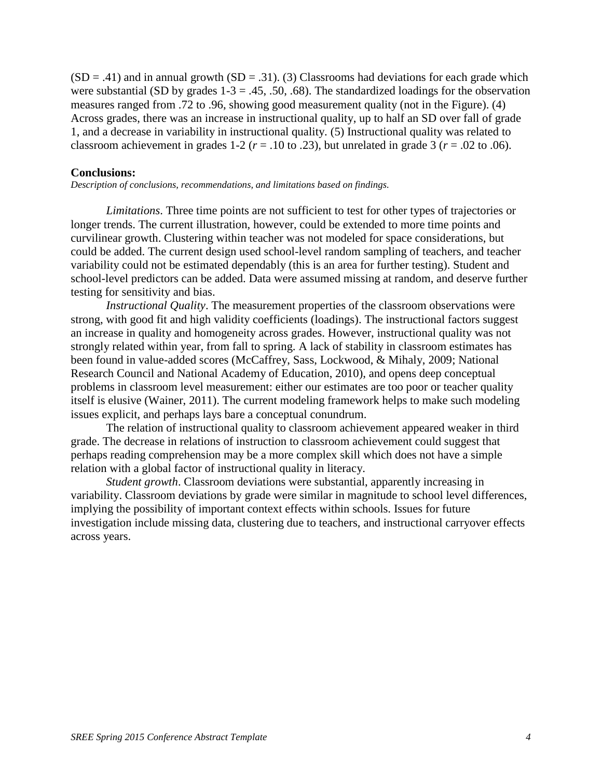$(SD = .41)$  and in annual growth  $(SD = .31)$ . (3) Classrooms had deviations for each grade which were substantial (SD by grades  $1-3 = .45, .50, .68$ ). The standardized loadings for the observation measures ranged from .72 to .96, showing good measurement quality (not in the Figure). (4) Across grades, there was an increase in instructional quality, up to half an SD over fall of grade 1, and a decrease in variability in instructional quality. (5) Instructional quality was related to classroom achievement in grades  $1-2$  ( $r = .10$  to .23), but unrelated in grade 3 ( $r = .02$  to .06).

## **Conclusions:**

*Description of conclusions, recommendations, and limitations based on findings.*

*Limitations*. Three time points are not sufficient to test for other types of trajectories or longer trends. The current illustration, however, could be extended to more time points and curvilinear growth. Clustering within teacher was not modeled for space considerations, but could be added. The current design used school-level random sampling of teachers, and teacher variability could not be estimated dependably (this is an area for further testing). Student and school-level predictors can be added. Data were assumed missing at random, and deserve further testing for sensitivity and bias.

*Instructional Quality*. The measurement properties of the classroom observations were strong, with good fit and high validity coefficients (loadings). The instructional factors suggest an increase in quality and homogeneity across grades. However, instructional quality was not strongly related within year, from fall to spring. A lack of stability in classroom estimates has been found in value-added scores [\(McCaffrey, Sass, Lockwood, & Mihaly, 2009;](#page-5-9) [National](#page-5-10)  [Research Council and National Academy of Education, 2010\)](#page-5-10), and opens deep conceptual problems in classroom level measurement: either our estimates are too poor or teacher quality itself is elusive [\(Wainer, 2011\)](#page-5-11). The current modeling framework helps to make such modeling issues explicit, and perhaps lays bare a conceptual conundrum.

The relation of instructional quality to classroom achievement appeared weaker in third grade. The decrease in relations of instruction to classroom achievement could suggest that perhaps reading comprehension may be a more complex skill which does not have a simple relation with a global factor of instructional quality in literacy.

*Student growth*. Classroom deviations were substantial, apparently increasing in variability. Classroom deviations by grade were similar in magnitude to school level differences, implying the possibility of important context effects within schools. Issues for future investigation include missing data, clustering due to teachers, and instructional carryover effects across years.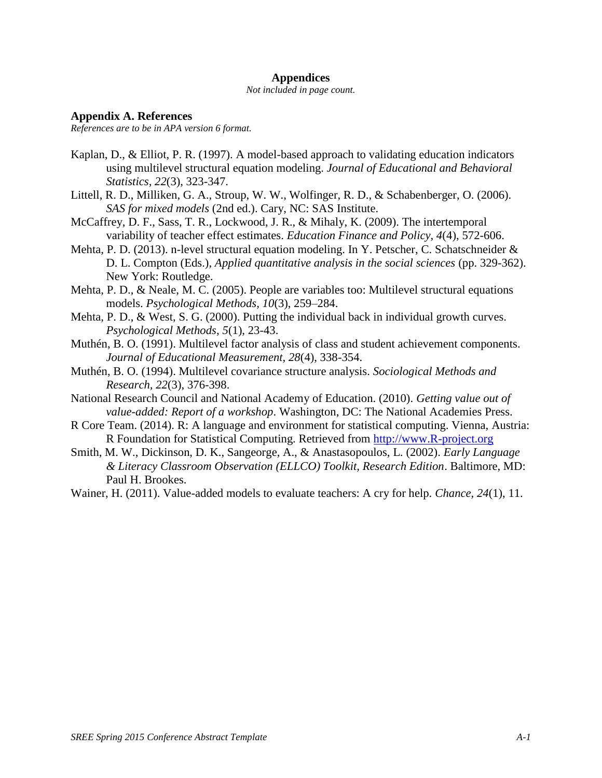### **Appendices**

#### *Not included in page count.*

### **Appendix A. References**

*References are to be in APA version 6 format.*

- <span id="page-5-3"></span>Kaplan, D., & Elliot, P. R. (1997). A model-based approach to validating education indicators using multilevel structural equation modeling. *Journal of Educational and Behavioral Statistics, 22*(3), 323-347.
- <span id="page-5-2"></span>Littell, R. D., Milliken, G. A., Stroup, W. W., Wolfinger, R. D., & Schabenberger, O. (2006). *SAS for mixed models* (2nd ed.). Cary, NC: SAS Institute.
- <span id="page-5-9"></span>McCaffrey, D. F., Sass, T. R., Lockwood, J. R., & Mihaly, K. (2009). The intertemporal variability of teacher effect estimates. *Education Finance and Policy, 4*(4), 572-606.
- <span id="page-5-0"></span>Mehta, P. D. (2013). n-level structural equation modeling. In Y. Petscher, C. Schatschneider & D. L. Compton (Eds.), *Applied quantitative analysis in the social sciences* (pp. 329-362). New York: Routledge.
- <span id="page-5-4"></span>Mehta, P. D., & Neale, M. C. (2005). People are variables too: Multilevel structural equations models. *Psychological Methods, 10*(3), 259–284.
- <span id="page-5-8"></span>Mehta, P. D., & West, S. G. (2000). Putting the individual back in individual growth curves. *Psychological Methods, 5*(1), 23-43.
- <span id="page-5-5"></span>Muthén, B. O. (1991). Multilevel factor analysis of class and student achievement components. *Journal of Educational Measurement, 28*(4), 338-354.
- <span id="page-5-6"></span>Muthén, B. O. (1994). Multilevel covariance structure analysis. *Sociological Methods and Research, 22*(3), 376-398.
- <span id="page-5-10"></span>National Research Council and National Academy of Education. (2010). *Getting value out of value-added: Report of a workshop*. Washington, DC: The National Academies Press.
- <span id="page-5-1"></span>R Core Team. (2014). R: A language and environment for statistical computing. Vienna, Austria: R Foundation for Statistical Computing. Retrieved from [http://www.R-project.org](http://www.r-project.org/)
- <span id="page-5-7"></span>Smith, M. W., Dickinson, D. K., Sangeorge, A., & Anastasopoulos, L. (2002). *Early Language & Literacy Classroom Observation (ELLCO) Toolkit, Research Edition*. Baltimore, MD: Paul H. Brookes.
- <span id="page-5-11"></span>Wainer, H. (2011). Value-added models to evaluate teachers: A cry for help. *Chance, 24*(1), 11.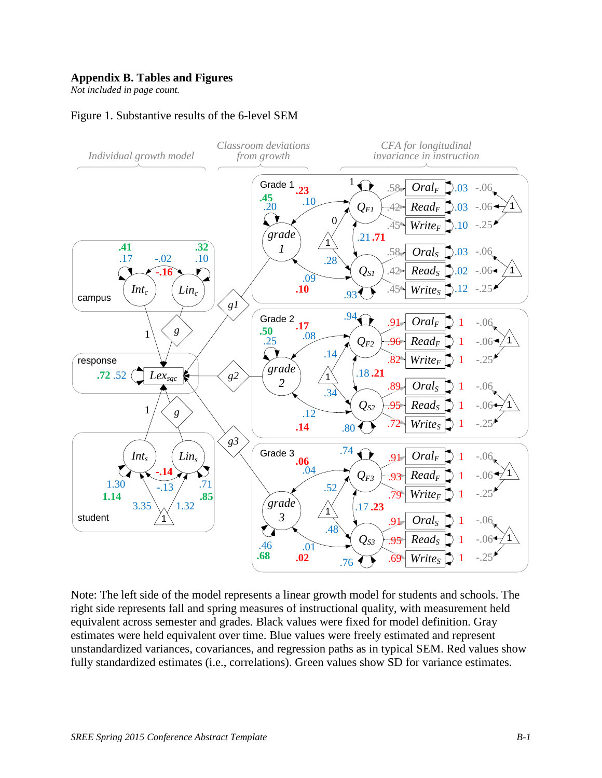## **Appendix B. Tables and Figures**

*Not included in page count.*

# Figure 1. Substantive results of the 6-level SEM



Note: The left side of the model represents a linear growth model for students and schools. The right side represents fall and spring measures of instructional quality, with measurement held equivalent across semester and grades. Black values were fixed for model definition. Gray estimates were held equivalent over time. Blue values were freely estimated and represent unstandardized variances, covariances, and regression paths as in typical SEM. Red values show fully standardized estimates (i.e., correlations). Green values show SD for variance estimates.